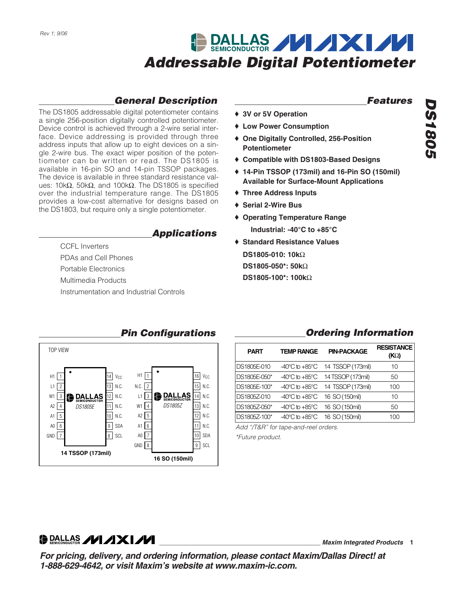# DALLAS VIXIVI *Addressable Digital Potentiometer*

### *General Description*

The DS1805 addressable digital potentiometer contains a single 256-position digitally controlled potentiometer. Device control is achieved through a 2-wire serial interface. Device addressing is provided through three address inputs that allow up to eight devices on a single 2-wire bus. The exact wiper position of the potentiometer can be written or read. The DS1805 is available in 16-pin SO and 14-pin TSSOP packages. The device is available in three standard resistance values: 10kΩ, 50kΩ, and 100kΩ. The DS1805 is specified over the industrial temperature range. The DS1805 provides a low-cost alternative for designs based on the DS1803, but require only a single potentiometer.

#### *Applications*

CCFL Inverters PDAs and Cell Phones Portable Electronics Multimedia Products Instrumentation and Industrial Controls

#### *Features*

- ♦ **3V or 5V Operation**
- ♦ **Low Power Consumption**
- ♦ **One Digitally Controlled, 256-Position Potentiometer**
- ♦ **Compatible with DS1803-Based Designs**
- ♦ **14-Pin TSSOP (173mil) and 16-Pin SO (150mil) Available for Surface-Mount Applications**
- ♦ **Three Address Inputs**
- ♦ **Serial 2-Wire Bus**
- ♦ **Operating Temperature Range Industrial: -40°C to +85°C**
- ♦ **Standard Resistance Values DS1805-010: 10k**Ω **DS1805-050\*: 50k**Ω **DS1805-100\*: 100k**Ω

|                                                                                                 |                                    |                                                                                              |                                                                                                              | Pin Configurations          |                                                                                                                                    |
|-------------------------------------------------------------------------------------------------|------------------------------------|----------------------------------------------------------------------------------------------|--------------------------------------------------------------------------------------------------------------|-----------------------------|------------------------------------------------------------------------------------------------------------------------------------|
| <b>TOP VIEW</b>                                                                                 |                                    |                                                                                              |                                                                                                              |                             |                                                                                                                                    |
| H1<br>L1<br>$\overline{c}$<br>W1<br>3<br>A2<br>4<br>5<br>A1<br>6<br>A0<br>GND<br>$\overline{7}$ | LAS<br>CONDUCTOR<br><b>DS1805E</b> | $14$ $V_{CC}$<br>13 N.C.<br>N.C.<br>12<br>N.C.<br>11<br>N.C.<br>10  <br>SDA<br>9<br>SCL<br>8 | H1<br>$\overline{2}$<br>N.C.<br>3<br>L1<br>W1<br>4<br>5<br>А2<br>6<br>A1<br>$\overline{7}$<br>A0<br>GND<br>8 | <b>CONDUCTOR</b><br>DS1805Z | 16<br>V <sub>CC</sub><br>N.C.<br>15<br>N.C.<br>14<br>N.C.<br>13<br>N.C.<br>12 <br>N.C.<br>11<br>SDA<br>10 <sup>1</sup><br>SCL<br>9 |
|                                                                                                 | 14 TSSOP (173mil)                  |                                                                                              |                                                                                                              | 16 SO (150mil)              |                                                                                                                                    |

### *<u>Ordering Information</u>*

| <b>PART</b>  | <b>TEMP RANGE</b>                  | <b>PIN-PACKAGE</b> | <b>RESISTANCE</b><br>(KQ) |
|--------------|------------------------------------|--------------------|---------------------------|
| DS1805E-010  | $-40^{\circ}$ C to $+85^{\circ}$ C | 14 TSSOP (173mil)  | 10                        |
| DS1805E-050* | $-40^{\circ}$ C to $+85^{\circ}$ C | 14 TSSOP (173mil)  | 50                        |
| DS1805E-100* | $-40^{\circ}$ C to $+85^{\circ}$ C | 14 TSSOP (173mil)  | 100                       |
| DS1805Z-010  | $-40^{\circ}$ C to $+85^{\circ}$ C | 16 SO (150mil)     | 10                        |
| DS1805Z-050* | $-40^{\circ}$ C to $+85^{\circ}$ C | 16 SO (150mil)     | 50                        |
| DS1805Z-100* | $-40^{\circ}$ C to $+85^{\circ}$ C | 16 SO (150mil)     | 100                       |

*Add "/T&R" for tape-and-reel orders. \*Future product.*

*DS1805*

**DS1805** 

**DRALLAS / 1/1 / 1 X 1 / 1/1** 

**\_\_\_\_\_\_\_\_\_\_\_\_\_\_\_\_\_\_\_\_\_\_\_\_\_\_\_\_\_\_\_\_\_\_\_\_\_\_\_\_\_\_\_\_\_\_** *Maxim Integrated Products* **1**

*For pricing, delivery, and ordering information, please contact Maxim/Dallas Direct! at 1-888-629-4642, or visit Maxim's website at www.maxim-ic.com.*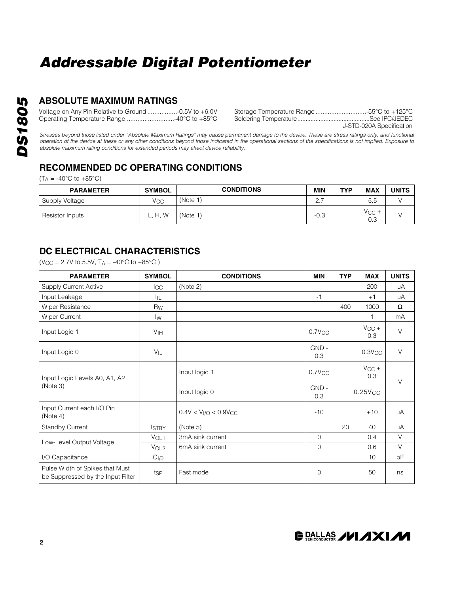### **ABSOLUTE MAXIMUM RATINGS**

Voltage on Any Pin Relative to Ground .................-0.5V to +6.0V Operating Temperature Range ...........................-40°C to +85°C Storage Temperature Range .............................-55°C to +125°C Soldering Temperature............................................See IPC/JEDEC

J-STD-020A Specification

*Stresses beyond those listed under "Absolute Maximum Ratings" may cause permanent damage to the device. These are stress ratings only, and functional operation of the device at these or any other conditions beyond those indicated in the operational sections of the specifications is not implied. Exposure to absolute maximum rating conditions for extended periods may affect device reliability.*

### **RECOMMENDED DC OPERATING CONDITIONS**

 $(T_A = -40\degree C$  to  $+85\degree C$ )

| <b>PARAMETER</b> | <b>SYMBOL</b> | <b>CONDITIONS</b> | MIN      | <b>TYP</b> | <b>MAX</b>        | UNITS |
|------------------|---------------|-------------------|----------|------------|-------------------|-------|
| Supply Voltage   | Vcc           | (Note 1)          | <u>.</u> |            | 5.5               |       |
| Resistor Inputs  | H, W          | (Note 1)          | $-0.3$   |            | $V_{CC}$ +<br>0.3 |       |

### **DC ELECTRICAL CHARACTERISTICS**

 $(V_{CC} = 2.7V$  to 5.5V,  $T_A = -40^{\circ}C$  to  $+85^{\circ}C$ .)

| <b>PARAMETER</b>                                                     | <b>SYMBOL</b>    | <b>CONDITIONS</b>      | <b>MIN</b>   | <b>TYP</b> | <b>MAX</b>        | <b>UNITS</b> |
|----------------------------------------------------------------------|------------------|------------------------|--------------|------------|-------------------|--------------|
| <b>Supply Current Active</b>                                         | <b>I</b> CC      | (Note 2)               |              |            | 200               | μA           |
| Input Leakage                                                        | ÌЩ               |                        | $-1$         |            | $+1$              | μA           |
| Wiper Resistance                                                     | Rw               |                        |              | 400        | 1000              | Ω            |
| <b>Wiper Current</b>                                                 | Iw               |                        |              |            | 1                 | mA           |
| Input Logic 1                                                        | V <sub>IH</sub>  |                        | $0.7$ V $CC$ |            | $V_{CC}$ +<br>0.3 | $\vee$       |
| Input Logic 0                                                        | $V_{IL}$         |                        | GND-<br>0.3  |            | $0.3$ V $CC$      | $\vee$       |
| Input Logic Levels A0, A1, A2                                        |                  | Input logic 1          | $0.7$ V $CC$ |            | $V_{CC}$ +<br>0.3 | $\vee$       |
| (Note 3)                                                             |                  | Input logic 0          | GND-<br>0.3  |            | $0.25$ V $CC$     |              |
| Input Current each I/O Pin<br>(Note 4)                               |                  | $0.4V < VI/O < 0.9VCC$ | $-10$        |            | $+10$             | μA           |
| <b>Standby Current</b>                                               | <b>ISTBY</b>     | (Note 5)               |              | 20         | 40                | μA           |
| Low-Level Output Voltage                                             | VOL1             | 3mA sink current       | $\mathbf{0}$ |            | 0.4               | V            |
|                                                                      | V <sub>OL2</sub> | 6mA sink current       | $\mathbf{O}$ |            | 0.6               | $\vee$       |
| I/O Capacitance                                                      | C <sub>I/O</sub> |                        |              |            | 10                | pF           |
| Pulse Width of Spikes that Must<br>be Suppressed by the Input Filter | tsp              | Fast mode              | $\mathbf 0$  |            | 50                | ns           |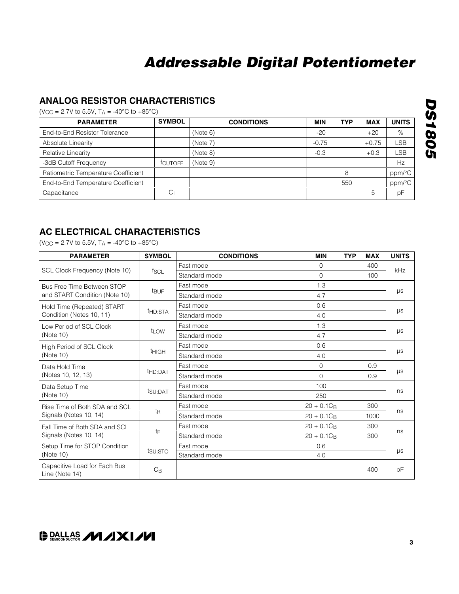### **ANALOG RESISTOR CHARACTERISTICS**

 $(V_{CC} = 2.7V \text{ to } 5.5V, T_A = -40\degree C \text{ to } +85\degree C)$ 

| <b>PARAMETER</b>                    | <b>SYMBOL</b>  | <b>CONDITIONS</b> | <b>MIN</b> | <b>TYP</b> | <b>MAX</b> | <b>UNITS</b> |
|-------------------------------------|----------------|-------------------|------------|------------|------------|--------------|
| End-to-End Resistor Tolerance       |                | (Note 6)          | $-20$      |            | $+20$      | $\%$         |
| Absolute Linearity                  |                | (Note 7)          | $-0.75$    |            | $+0.75$    | LSB          |
| Relative Linearity                  |                | (Note 8)          | $-0.3$     |            | $+0.3$     | LSB          |
| -3dB Cutoff Frequency               | <b>TCUTOFF</b> | (Note 9)          |            |            |            | Hz           |
| Ratiometric Temperature Coefficient |                |                   |            | 8          |            | ppm/°C       |
| End-to-End Temperature Coefficient  |                |                   |            | 550        |            | ppm/°C       |
| Capacitance                         | Сı             |                   |            |            | 5          | pF           |

### **AC ELECTRICAL CHARACTERISTICS**

(V<sub>CC</sub> = 2.7V to 5.5V,  $T_A$  = -40°C to +85°C)

| <b>PARAMETER</b>                               | <b>SYMBOL</b>       | <b>CONDITIONS</b> | <b>MIN</b>    | <b>TYP</b> | <b>MAX</b> | <b>UNITS</b> |  |
|------------------------------------------------|---------------------|-------------------|---------------|------------|------------|--------------|--|
|                                                | f <sub>SCL</sub>    | Fast mode         | $\Omega$      |            | 400        | <b>kHz</b>   |  |
| SCL Clock Frequency (Note 10)                  |                     | Standard mode     | $\Omega$      |            | 100        |              |  |
| Bus Free Time Between STOP                     |                     | Fast mode         | 1.3           |            |            | $\mu s$      |  |
| and START Condition (Note 10)                  | <b>t</b> BUF        | Standard mode     | 4.7           |            |            |              |  |
| Hold Time (Repeated) START                     |                     | Fast mode         | 0.6           |            |            | $\mu s$      |  |
| Condition (Notes 10, 11)                       | t <sub>HD:STA</sub> | Standard mode     | 4.0           |            |            |              |  |
| Low Period of SCL Clock                        |                     | Fast mode         | 1.3           |            |            | $\mu s$      |  |
| (Note 10)                                      | t <sub>LOW</sub>    | Standard mode     | 4.7           |            |            |              |  |
| High Period of SCL Clock                       |                     | Fast mode         | 0.6           |            |            |              |  |
| (Note 10)                                      | <b>THIGH</b>        | Standard mode     | 4.0           |            |            | $\mu s$      |  |
| Data Hold Time                                 |                     | Fast mode         | $\Omega$      |            | 0.9        | $\mu s$      |  |
| (Notes 10, 12, 13)                             | thd:DAT             | Standard mode     | $\Omega$      |            | 0.9        |              |  |
| Data Setup Time                                |                     | Fast mode         | 100           |            |            |              |  |
| (Note 10)                                      | tsu:DAT             | Standard mode     | 250           |            |            | ns           |  |
| Rise Time of Both SDA and SCL                  |                     | Fast mode         | $20 + 0.1C_B$ |            | 300        |              |  |
| Signals (Notes 10, 14)                         | t <sub>R</sub>      | Standard mode     | $20 + 0.1C_B$ |            | 1000       | ns           |  |
| Fall Time of Both SDA and SCL                  |                     | Fast mode         | $20 + 0.1C_B$ |            | 300        | ns           |  |
| Signals (Notes 10, 14)                         | tF                  | Standard mode     | $20 + 0.1C_B$ |            | 300        |              |  |
| Setup Time for STOP Condition                  |                     | Fast mode         | 0.6           |            |            |              |  |
| (Note 10)                                      | tsu:STO             | Standard mode     | 4.0           |            |            | $\mu s$      |  |
| Capacitive Load for Each Bus<br>Line (Note 14) | $C_{\mathsf{B}}$    |                   |               |            | 400        | pF           |  |

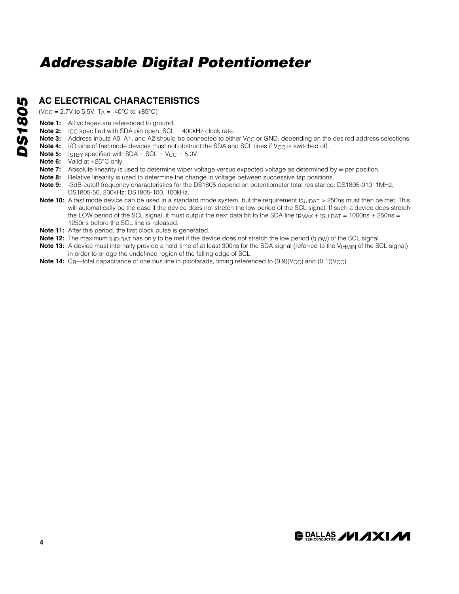### **AC ELECTRICAL CHARACTERISTICS**

 $(V_{CC} = 2.7V$  to 5.5V,  $T_A = -40^{\circ}C$  to  $+85^{\circ}C$ )

- **Note 1:** All voltages are referenced to ground.
- **Note 2:** I<sub>CC</sub> specified with SDA pin open. SCL = 400kHz clock rate.
- **Note 3:** Address inputs A0, A1, and A2 should be connected to either V<sub>CC</sub> or GND, depending on the desired address selections.
- **Note 4:** I/O pins of fast mode devices must not obstruct the SDA and SCL lines if  $V_{\text{CC}}$  is switched off.
- **Note 5:** I<sub>STBY</sub> specified with SDA =  $SCL = V_{CC} = 5.0V$ .
- **Note 6:** Valid at +25°C only.
- **Note 7:** Absolute linearity is used to determine wiper voltage versus expected voltage as determined by wiper position.
- Note 8: Relative linearity is used to determine the change in voltage between successive tap positions.
- **Note 9:** -3dB cutoff frequency characteristics for the DS1805 depend on potentiometer total resistance: DS1805-010, 1MHz; DS1805-50, 200kHz; DS1805-100, 100kHz.
- **Note 10:** A fast mode device can be used in a standard mode system, but the requirement t<sub>SU:DAT</sub> > 250ns must then be met. This will automatically be the case if the device does not stretch the low period of the SCL signal. If such a device does stretch the LOW period of the SCL signal, it must output the next data bit to the SDA line t<sub>RMAX</sub> + t<sub>SU:DAT</sub> = 1000ns + 250ns = 1250ns before the SCL line is released.
- **Note 11:** After this period, the first clock pulse is generated.
- Note 12: The maximum t<sub>HD:DAT</sub> has only to be met if the device does not stretch the low period (t<sub>LOW</sub>) of the SCL signal.
- **Note 13:** A device must internally provide a hold time of at least 300ns for the SDA signal (referred to the V<sub>IHMIN</sub> of the SCL signal) in order to bridge the undefined region of the falling edge of SCL.
- **Note 14:** C<sub>B</sub>—total capacitance of one bus line in picofarads, timing referenced to (0.9)(V<sub>CC</sub>) and (0.1)(V<sub>CC</sub>).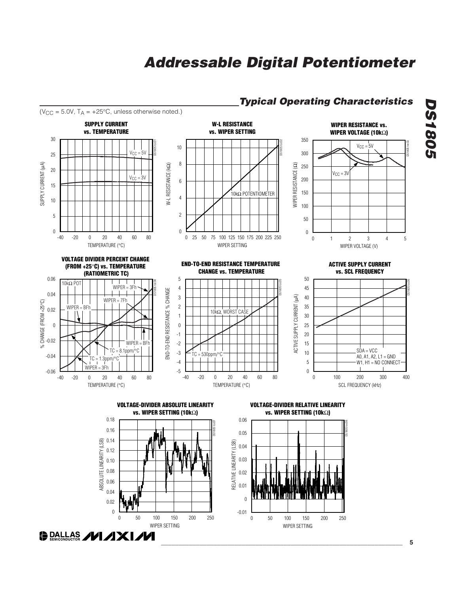WIPER SETTING

50 100 150 200

0 50 100 150 200 250

 $\overline{0}$ 

-0.01



WIPER SETTING

50 100 150 200

0 50 100 150 200 250

0.04

 $\boldsymbol{0}$ 0.02

**DRALLAS /VI /IXI/VI** 

#### *Typical Operating Characteristics*

*\_\_\_\_\_\_\_\_\_\_\_\_\_\_\_\_\_\_\_\_\_\_\_\_\_\_\_\_\_\_\_\_\_\_\_\_\_\_\_\_\_\_\_\_\_\_\_\_\_\_\_\_\_\_\_\_\_\_\_\_\_\_\_\_\_\_\_\_\_* **5**

*DS1805*

**DS1805**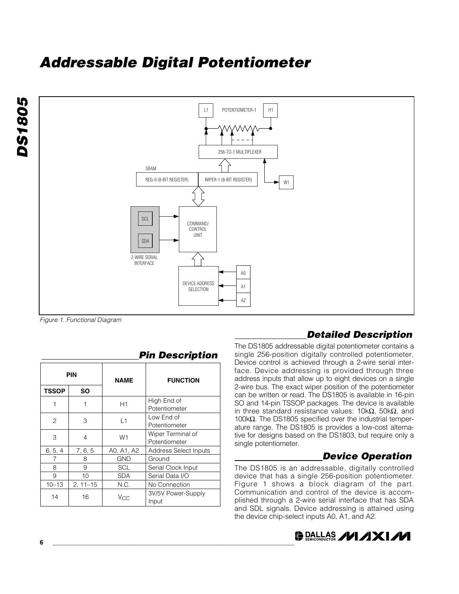



*Figure 1. Functional Diagram*

| <b>PIN</b>   |              | <b>NAME</b>    | <b>FUNCTION</b>                    |  |
|--------------|--------------|----------------|------------------------------------|--|
| <b>TSSOP</b> | SΟ           |                |                                    |  |
|              | 1            | H1             | High End of<br>Potentiometer       |  |
| 2            | 3            | L1             | Low End of<br>Potentiometer        |  |
| 3            | 4            | W <sub>1</sub> | Wiper Terminal of<br>Potentiometer |  |
| 6, 5, 4      | 7, 6, 5      | A0, A1, A2     | <b>Address Select Inputs</b>       |  |
|              | 8            | GND            | Ground                             |  |
| 8            | 9            | <b>SCL</b>     | Serial Clock Input                 |  |
| 9            | 10           | <b>SDA</b>     | Serial Data I/O                    |  |
| $10 - 13$    | $2, 11 - 15$ | N.C.           | No Connection                      |  |
| 14           | 16           | Vcc            | 3V/5V Power-Supply<br>Input        |  |

#### *Pin Description*

### *Detailed Description*

The DS1805 addressable digital potentiometer contains a single 256-position digitally controlled potentiometer. Device control is achieved through a 2-wire serial interface. Device addressing is provided through three address inputs that allow up to eight devices on a single 2-wire bus. The exact wiper position of the potentiometer can be written or read. The DS1805 is available in 16-pin SO and 14-pin TSSOP packages. The device is available in three standard resistance values: 10kΩ, 50kΩ, and 100kΩ. The DS1805 specified over the industrial temperature range. The DS1805 is provides a low-cost alternative for designs based on the DS1803, but require only a single potentiometer.

### *Device Operation*

The DS1805 is an addressable, digitally controlled device that has a single 256-position potentiometer. Figure 1 shows a block diagram of the part. Communication and control of the device is accomplished through a 2-wire serial interface that has SDA and SDL signals. Device addressing is attained using the device chip-select inputs A0, A1, and A2.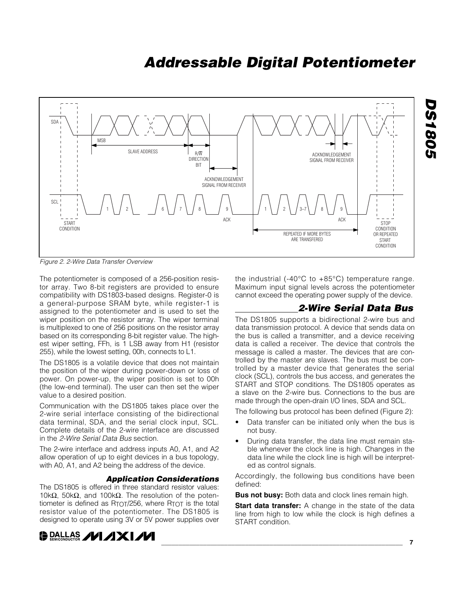

*Figure 2. 2-Wire Data Transfer Overview*

The potentiometer is composed of a 256-position resistor array. Two 8-bit registers are provided to ensure compatibility with DS1803-based designs. Register-0 is a general-purpose SRAM byte, while register-1 is assigned to the potentiometer and is used to set the wiper position on the resistor array. The wiper terminal is multiplexed to one of 256 positions on the resistor array based on its corresponding 8-bit register value. The highest wiper setting, FFh, is 1 LSB away from H1 (resistor 255), while the lowest setting, 00h, connects to L1.

The DS1805 is a volatile device that does not maintain the position of the wiper during power-down or loss of power. On power-up, the wiper position is set to 00h (the low-end terminal). The user can then set the wiper value to a desired position.

Communication with the DS1805 takes place over the 2-wire serial interface consisting of the bidirectional data terminal, SDA, and the serial clock input, SCL. Complete details of the 2-wire interface are discussed in the *2-Wire Serial Data Bus* section.

The 2-wire interface and address inputs A0, A1, and A2 allow operation of up to eight devices in a bus topology, with A0, A1, and A2 being the address of the device.

#### *Application Considerations*

The DS1805 is offered in three standard resistor values: 10kΩ, 50kΩ, and 100kΩ. The resolution of the potentiometer is defined as RTOT/256, where RTOT is the total resistor value of the potentiometer. The DS1805 is designed to operate using 3V or 5V power supplies over

 $\bigoplus_{\mathcal{D}}\text{DALLAS}$  // /  $\bigcup$  //

the industrial (-40 $\degree$ C to +85 $\degree$ C) temperature range. Maximum input signal levels across the potentiometer cannot exceed the operating power supply of the device.

#### *2-Wire Serial Data Bus*

The DS1805 supports a bidirectional 2-wire bus and data transmission protocol. A device that sends data on the bus is called a transmitter, and a device receiving data is called a receiver. The device that controls the message is called a master. The devices that are controlled by the master are slaves. The bus must be controlled by a master device that generates the serial clock (SCL), controls the bus access, and generates the START and STOP conditions. The DS1805 operates as a slave on the 2-wire bus. Connections to the bus are made through the open-drain I/O lines, SDA and SCL.

The following bus protocol has been defined (Figure 2):

- Data transfer can be initiated only when the bus is not busy.
- During data transfer, the data line must remain stable whenever the clock line is high. Changes in the data line while the clock line is high will be interpreted as control signals.

Accordingly, the following bus conditions have been defined:

**Bus not busy:** Both data and clock lines remain high.

**Start data transfer:** A change in the state of the data line from high to low while the clock is high defines a START condition.

*DS1805*

**2081805**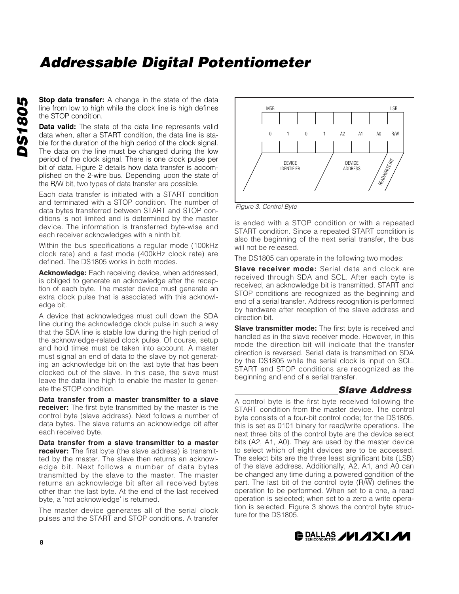**Stop data transfer:** A change in the state of the data line from low to high while the clock line is high defines the STOP condition.

**Data valid:** The state of the data line represents valid data when, after a START condition, the data line is stable for the duration of the high period of the clock signal. The data on the line must be changed during the low period of the clock signal. There is one clock pulse per bit of data. Figure 2 details how data transfer is accomplished on the 2-wire bus. Depending upon the state of the R/W bit, two types of data transfer are possible.

Each data transfer is initiated with a START condition and terminated with a STOP condition. The number of data bytes transferred between START and STOP conditions is not limited and is determined by the master device. The information is transferred byte-wise and each receiver acknowledges with a ninth bit.

Within the bus specifications a regular mode (100kHz clock rate) and a fast mode (400kHz clock rate) are defined. The DS1805 works in both modes.

**Acknowledge:** Each receiving device, when addressed, is obliged to generate an acknowledge after the reception of each byte. The master device must generate an extra clock pulse that is associated with this acknowledge bit.

A device that acknowledges must pull down the SDA line during the acknowledge clock pulse in such a way that the SDA line is stable low during the high period of the acknowledge-related clock pulse. Of course, setup and hold times must be taken into account. A master must signal an end of data to the slave by not generating an acknowledge bit on the last byte that has been clocked out of the slave. In this case, the slave must leave the data line high to enable the master to generate the STOP condition.

**Data transfer from a master transmitter to a slave receiver:** The first byte transmitted by the master is the control byte (slave address). Next follows a number of data bytes. The slave returns an acknowledge bit after each received byte.

**Data transfer from a slave transmitter to a master receiver:** The first byte (the slave address) is transmitted by the master. The slave then returns an acknowledge bit. Next follows a number of data bytes transmitted by the slave to the master. The master returns an acknowledge bit after all received bytes other than the last byte. At the end of the last received byte, a 'not acknowledge' is returned.

The master device generates all of the serial clock pulses and the START and STOP conditions. A transfer



*Figure 3. Control Byte*

is ended with a STOP condition or with a repeated START condition. Since a repeated START condition is also the beginning of the next serial transfer, the bus will not be released.

The DS1805 can operate in the following two modes:

**Slave receiver mode:** Serial data and clock are received through SDA and SCL. After each byte is received, an acknowledge bit is transmitted. START and STOP conditions are recognized as the beginning and end of a serial transfer. Address recognition is performed by hardware after reception of the slave address and direction bit.

**Slave transmitter mode:** The first byte is received and handled as in the slave receiver mode. However, in this mode the direction bit will indicate that the transfer direction is reversed. Serial data is transmitted on SDA by the DS1805 while the serial clock is input on SCL. START and STOP conditions are recognized as the beginning and end of a serial transfer.

#### *Slave Address*

A control byte is the first byte received following the START condition from the master device. The control byte consists of a four-bit control code; for the DS1805, this is set as 0101 binary for read/write operations. The next three bits of the control byte are the device select bits (A2, A1, A0). They are used by the master device to select which of eight devices are to be accessed. The select bits are the three least significant bits (LSB) of the slave address. Additionally, A2, A1, and A0 can be changed any time during a powered condition of the part. The last bit of the control byte  $(R/\overline{W})$  defines the operation to be performed. When set to a one, a read operation is selected; when set to a zero a write operation is selected. Figure 3 shows the control byte structure for the DS1805.

### **DALLAS /VI /IXI/VI**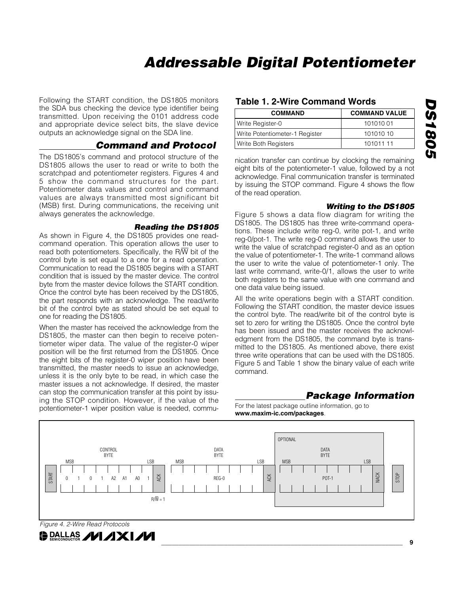Following the START condition, the DS1805 monitors the SDA bus checking the device type identifier being transmitted. Upon receiving the 0101 address code and appropriate device select bits, the slave device outputs an acknowledge signal on the SDA line.

#### *Command and Protocol*

The DS1805's command and protocol structure of the DS1805 allows the user to read or write to both the scratchpad and potentiometer registers. Figures 4 and 5 show the command structures for the part. Potentiometer data values and control and command values are always transmitted most significant bit (MSB) first. During communications, the receiving unit always generates the acknowledge.

#### *Reading the DS1805*

As shown in Figure 4, the DS1805 provides one readcommand operation. This operation allows the user to read both potentiometers. Specifically, the R $\overline{W}$  bit of the control byte is set equal to a one for a read operation. Communication to read the DS1805 begins with a START condition that is issued by the master device. The control byte from the master device follows the START condition. Once the control byte has been received by the DS1805, the part responds with an acknowledge. The read/write bit of the control byte as stated should be set equal to one for reading the DS1805.

When the master has received the acknowledge from the DS1805, the master can then begin to receive potentiometer wiper data. The value of the register-0 wiper position will be the first returned from the DS1805. Once the eight bits of the register-0 wiper position have been transmitted, the master needs to issue an acknowledge, unless it is the only byte to be read, in which case the master issues a not acknowledge. If desired, the master can stop the communication transfer at this point by issuing the STOP condition. However, if the value of the potentiometer-1 wiper position value is needed, commu-

#### **Table 1. 2-Wire Command Words**

| <b>COMMAND</b>                 | <b>COMMAND VALUE</b> |
|--------------------------------|----------------------|
| Write Register-0               | 10101001             |
| Write Potentiometer-1 Register | 101010 10            |
| Write Both Registers           | 101011 11            |

nication transfer can continue by clocking the remaining eight bits of the potentiometer-1 value, followed by a not acknowledge. Final communication transfer is terminated by issuing the STOP command. Figure 4 shows the flow of the read operation.

#### *Writing to the DS1805*

Figure 5 shows a data flow diagram for writing the DS1805. The DS1805 has three write-command operations. These include write reg-0, write pot-1, and write reg-0/pot-1. The write reg-0 command allows the user to write the value of scratchpad register-0 and as an option the value of potentiometer-1. The write-1 command allows the user to write the value of potentiometer-1 only. The last write command, write-0/1, allows the user to write both registers to the same value with one command and one data value being issued.

All the write operations begin with a START condition. Following the START condition, the master device issues the control byte. The read/write bit of the control byte is set to zero for writing the DS1805. Once the control byte has been issued and the master receives the acknowledgment from the DS1805, the command byte is transmitted to the DS1805. As mentioned above, there exist three write operations that can be used with the DS1805. Figure 5 and Table 1 show the binary value of each write command.

#### *Package Information*

For the latest package outline information, go to **www.maxim-ic.com/packages**.